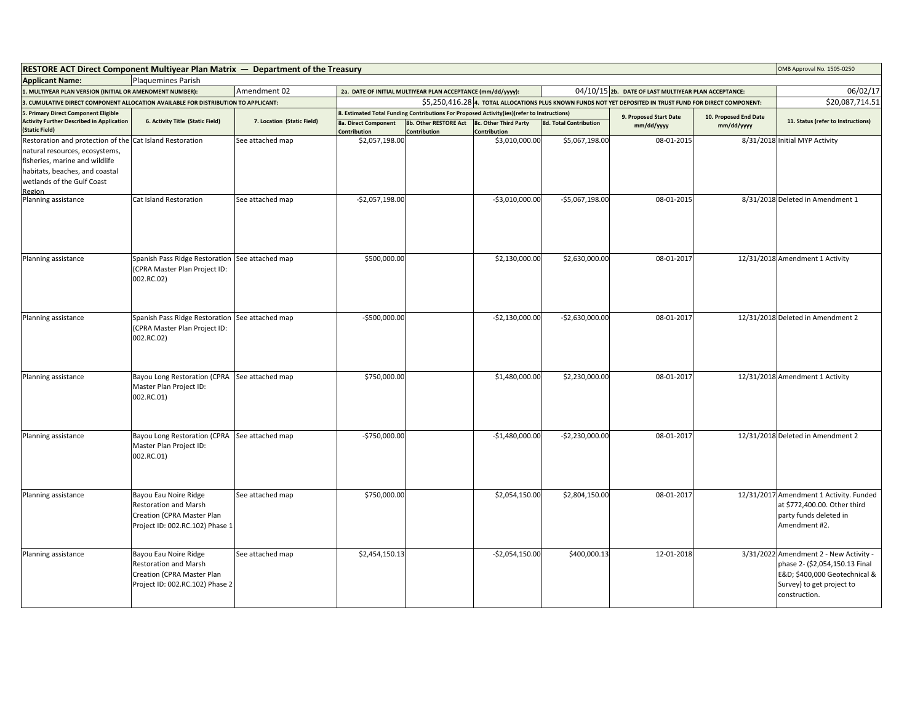| <b>RESTORE ACT Direct Component Multiyear Plan Matrix — Department of the Treasury</b>                                                                                                                 |                                                                                                                        |                            |                                                                                                            |                                                                                            |                                       |                               |                                                      |                       | OMB Approval No. 1505-0250                                                                                                                             |
|--------------------------------------------------------------------------------------------------------------------------------------------------------------------------------------------------------|------------------------------------------------------------------------------------------------------------------------|----------------------------|------------------------------------------------------------------------------------------------------------|--------------------------------------------------------------------------------------------|---------------------------------------|-------------------------------|------------------------------------------------------|-----------------------|--------------------------------------------------------------------------------------------------------------------------------------------------------|
| <b>Applicant Name:</b>                                                                                                                                                                                 | <b>Plaquemines Parish</b>                                                                                              |                            |                                                                                                            |                                                                                            |                                       |                               |                                                      |                       |                                                                                                                                                        |
| 1. MULTIYEAR PLAN VERSION (INITIAL OR AMENDMENT NUMBER):                                                                                                                                               |                                                                                                                        | Amendment 02               |                                                                                                            | 2a. DATE OF INITIAL MULTIYEAR PLAN ACCEPTANCE (mm/dd/yyyy):                                |                                       |                               | 04/10/15 2b. DATE OF LAST MULTIYEAR PLAN ACCEPTANCE: |                       | 06/02/17                                                                                                                                               |
| . CUMULATIVE DIRECT COMPONENT ALLOCATION AVAILABLE FOR DISTRIBUTION TO APPLICANT:                                                                                                                      |                                                                                                                        |                            | \$5,250,416.28 4. TOTAL ALLOCATIONS PLUS KNOWN FUNDS NOT YET DEPOSITED IN TRUST FUND FOR DIRECT COMPONENT: |                                                                                            |                                       |                               |                                                      | \$20,087,714.51       |                                                                                                                                                        |
| 5. Primary Direct Component Eligible                                                                                                                                                                   |                                                                                                                        |                            |                                                                                                            | 8. Estimated Total Funding Contributions For Proposed Activity(ies)(refer to Instructions) |                                       |                               | 9. Proposed Start Date                               | 10. Proposed End Date |                                                                                                                                                        |
| <b>Activity Further Described in Application</b><br>(Static Field)                                                                                                                                     | 6. Activity Title (Static Field)                                                                                       | 7. Location (Static Field) | 8a. Direct Component<br>Contribution                                                                       | 8b. Other RESTORE Act<br>Contribution                                                      | 8c. Other Third Party<br>Contribution | <b>8d. Total Contribution</b> | mm/dd/yyyy                                           | mm/dd/yyyy            | 11. Status (refer to Instructions)                                                                                                                     |
| Restoration and protection of the Cat Island Restoration<br>natural resources, ecosystems,<br>fisheries, marine and wildlife<br>habitats, beaches, and coastal<br>wetlands of the Gulf Coast<br>Region |                                                                                                                        | See attached map           | \$2,057,198.00                                                                                             |                                                                                            | \$3,010,000.00                        | \$5,067,198.00                | 08-01-2015                                           |                       | 8/31/2018 Initial MYP Activity                                                                                                                         |
| Planning assistance                                                                                                                                                                                    | Cat Island Restoration                                                                                                 | See attached map           | $-$2,057,198.00$                                                                                           |                                                                                            | $-$3,010,000.00$                      | $-$5,067,198.00$              | 08-01-2015                                           |                       | 8/31/2018 Deleted in Amendment 1                                                                                                                       |
| Planning assistance                                                                                                                                                                                    | Spanish Pass Ridge Restoration<br>CPRA Master Plan Project ID:<br>002.RC.02)                                           | See attached map           | \$500,000.00                                                                                               |                                                                                            | \$2,130,000.00                        | \$2,630,000.00                | 08-01-2017                                           |                       | 12/31/2018 Amendment 1 Activity                                                                                                                        |
| Planning assistance                                                                                                                                                                                    | Spanish Pass Ridge Restoration<br>CPRA Master Plan Project ID:<br>002.RC.02)                                           | See attached map           | $-$500,000.00$                                                                                             |                                                                                            | $-$2,130,000.00$                      | $-$2,630,000.00$              | 08-01-2017                                           |                       | 12/31/2018 Deleted in Amendment 2                                                                                                                      |
| Planning assistance                                                                                                                                                                                    | Bayou Long Restoration (CPRA<br>Master Plan Project ID:<br>002.RC.01)                                                  | See attached map           | \$750,000.00                                                                                               |                                                                                            | \$1,480,000.00                        | \$2,230,000.00                | 08-01-2017                                           |                       | 12/31/2018 Amendment 1 Activity                                                                                                                        |
| Planning assistance                                                                                                                                                                                    | Bayou Long Restoration (CPRA<br>Master Plan Project ID:<br>002.RC.01)                                                  | See attached map           | $-$750,000.00$                                                                                             |                                                                                            | $-$1,480,000.00$                      | $-$2,230,000.00$              | 08-01-2017                                           |                       | 12/31/2018 Deleted in Amendment 2                                                                                                                      |
| Planning assistance                                                                                                                                                                                    | Bayou Eau Noire Ridge<br><b>Restoration and Marsh</b><br>Creation (CPRA Master Plan<br>Project ID: 002.RC.102) Phase 1 | See attached map           | \$750,000.00                                                                                               |                                                                                            | \$2,054,150.00                        | \$2,804,150.00                | 08-01-2017                                           |                       | 12/31/2017 Amendment 1 Activity. Funded<br>at \$772,400.00. Other third<br>party funds deleted in<br>Amendment #2.                                     |
| Planning assistance                                                                                                                                                                                    | Bayou Eau Noire Ridge<br><b>Restoration and Marsh</b><br>Creation (CPRA Master Plan<br>Project ID: 002.RC.102) Phase 2 | See attached map           | \$2,454,150.13                                                                                             |                                                                                            | $-$2,054,150.00$                      | \$400,000.13                  | 12-01-2018                                           |                       | 3/31/2022 Amendment 2 - New Activity -<br>phase 2- (\$2,054,150.13 Final<br>E&D \$400,000 Geotechnical &<br>Survey) to get project to<br>construction. |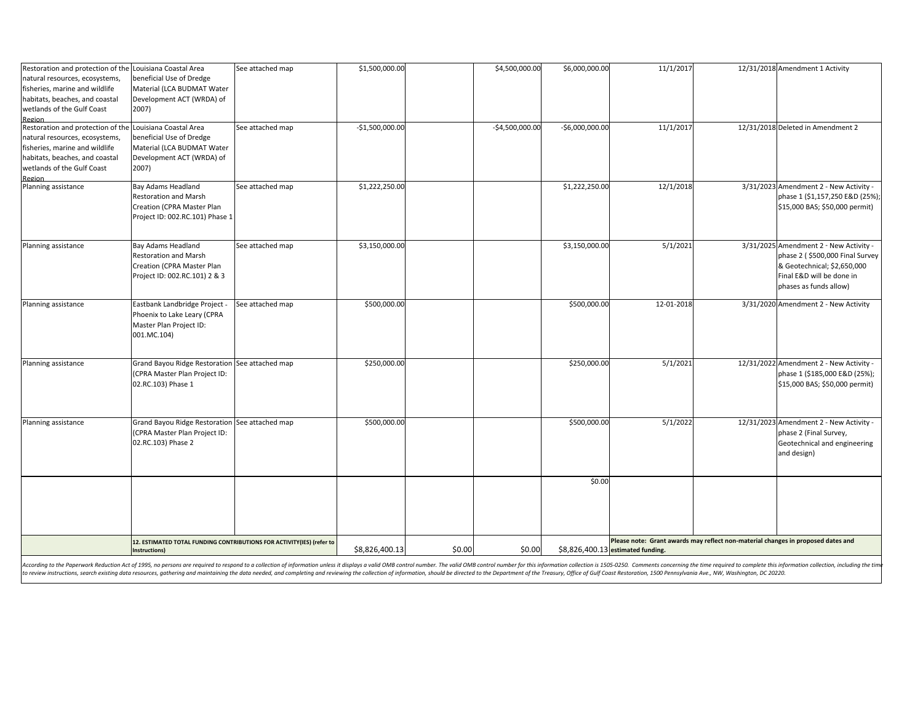| Restoration and protection of the Louisiana Coastal Area |                                                                       | See attached map                                                                                                                                                                                                               | \$1,500,000.00   |        | \$4,500,000.00   | \$6,000,000.00   | 11/1/2017                                                                        |  | 12/31/2018 Amendment 1 Activity         |
|----------------------------------------------------------|-----------------------------------------------------------------------|--------------------------------------------------------------------------------------------------------------------------------------------------------------------------------------------------------------------------------|------------------|--------|------------------|------------------|----------------------------------------------------------------------------------|--|-----------------------------------------|
| natural resources, ecosystems,                           | beneficial Use of Dredge                                              |                                                                                                                                                                                                                                |                  |        |                  |                  |                                                                                  |  |                                         |
| fisheries, marine and wildlife                           | Material (LCA BUDMAT Water                                            |                                                                                                                                                                                                                                |                  |        |                  |                  |                                                                                  |  |                                         |
| habitats, beaches, and coastal                           | Development ACT (WRDA) of                                             |                                                                                                                                                                                                                                |                  |        |                  |                  |                                                                                  |  |                                         |
| wetlands of the Gulf Coast                               | 2007)                                                                 |                                                                                                                                                                                                                                |                  |        |                  |                  |                                                                                  |  |                                         |
| Region                                                   |                                                                       |                                                                                                                                                                                                                                |                  |        |                  |                  |                                                                                  |  |                                         |
| Restoration and protection of the Louisiana Coastal Area |                                                                       | See attached map                                                                                                                                                                                                               | $-$1,500,000.00$ |        | $-$4,500,000.00$ | $-$6,000,000.00$ | 11/1/2017                                                                        |  | 12/31/2018 Deleted in Amendment 2       |
| natural resources, ecosystems,                           | beneficial Use of Dredge                                              |                                                                                                                                                                                                                                |                  |        |                  |                  |                                                                                  |  |                                         |
| fisheries, marine and wildlife                           | Material (LCA BUDMAT Water                                            |                                                                                                                                                                                                                                |                  |        |                  |                  |                                                                                  |  |                                         |
| habitats, beaches, and coastal                           | Development ACT (WRDA) of                                             |                                                                                                                                                                                                                                |                  |        |                  |                  |                                                                                  |  |                                         |
| wetlands of the Gulf Coast                               | 2007)                                                                 |                                                                                                                                                                                                                                |                  |        |                  |                  |                                                                                  |  |                                         |
| Region                                                   |                                                                       |                                                                                                                                                                                                                                |                  |        |                  |                  |                                                                                  |  |                                         |
| Planning assistance                                      | Bay Adams Headland                                                    | See attached map                                                                                                                                                                                                               | \$1,222,250.00   |        |                  | \$1,222,250.00   | 12/1/2018                                                                        |  | 3/31/2023 Amendment 2 - New Activity -  |
|                                                          | Restoration and Marsh                                                 |                                                                                                                                                                                                                                |                  |        |                  |                  |                                                                                  |  | phase 1 (\$1,157,250 E&D (25%);         |
|                                                          | Creation (CPRA Master Plan                                            |                                                                                                                                                                                                                                |                  |        |                  |                  |                                                                                  |  | \$15,000 BAS; \$50,000 permit)          |
|                                                          | Project ID: 002.RC.101) Phase 1                                       |                                                                                                                                                                                                                                |                  |        |                  |                  |                                                                                  |  |                                         |
|                                                          |                                                                       |                                                                                                                                                                                                                                |                  |        |                  |                  |                                                                                  |  |                                         |
| Planning assistance                                      | <b>Bay Adams Headland</b>                                             | See attached map                                                                                                                                                                                                               | \$3,150,000.00   |        |                  | \$3,150,000.00   | 5/1/2021                                                                         |  | 3/31/2025 Amendment 2 - New Activity -  |
|                                                          | Restoration and Marsh                                                 |                                                                                                                                                                                                                                |                  |        |                  |                  |                                                                                  |  | phase 2 (\$500,000 Final Survey         |
|                                                          | Creation (CPRA Master Plan                                            |                                                                                                                                                                                                                                |                  |        |                  |                  |                                                                                  |  | & Geotechnical; \$2,650,000             |
|                                                          | Project ID: 002.RC.101) 2 & 3                                         |                                                                                                                                                                                                                                |                  |        |                  |                  |                                                                                  |  | Final E&D will be done in               |
|                                                          |                                                                       |                                                                                                                                                                                                                                |                  |        |                  |                  |                                                                                  |  | phases as funds allow)                  |
| Planning assistance                                      | Eastbank Landbridge Project -                                         | See attached map                                                                                                                                                                                                               | \$500,000.00     |        |                  | \$500,000.00     | 12-01-2018                                                                       |  | 3/31/2020 Amendment 2 - New Activity    |
|                                                          | Phoenix to Lake Leary (CPRA                                           |                                                                                                                                                                                                                                |                  |        |                  |                  |                                                                                  |  |                                         |
|                                                          | Master Plan Project ID:                                               |                                                                                                                                                                                                                                |                  |        |                  |                  |                                                                                  |  |                                         |
|                                                          | 001.MC.104)                                                           |                                                                                                                                                                                                                                |                  |        |                  |                  |                                                                                  |  |                                         |
|                                                          |                                                                       |                                                                                                                                                                                                                                |                  |        |                  |                  |                                                                                  |  |                                         |
| Planning assistance                                      | Grand Bayou Ridge Restoration See attached map                        |                                                                                                                                                                                                                                | \$250,000.00     |        |                  | \$250,000.00     | 5/1/2021                                                                         |  | 12/31/2022 Amendment 2 - New Activity - |
|                                                          | (CPRA Master Plan Project ID:                                         |                                                                                                                                                                                                                                |                  |        |                  |                  |                                                                                  |  | phase 1 (\$185,000 E&D (25%);           |
|                                                          | 02.RC.103) Phase 1                                                    |                                                                                                                                                                                                                                |                  |        |                  |                  |                                                                                  |  | \$15,000 BAS; \$50,000 permit)          |
|                                                          |                                                                       |                                                                                                                                                                                                                                |                  |        |                  |                  |                                                                                  |  |                                         |
|                                                          |                                                                       |                                                                                                                                                                                                                                |                  |        |                  |                  |                                                                                  |  |                                         |
| Planning assistance                                      | Grand Bayou Ridge Restoration See attached map                        |                                                                                                                                                                                                                                | \$500,000.00     |        |                  | \$500,000.00     | 5/1/2022                                                                         |  | 12/31/2023 Amendment 2 - New Activity - |
|                                                          | (CPRA Master Plan Project ID:                                         |                                                                                                                                                                                                                                |                  |        |                  |                  |                                                                                  |  | phase 2 (Final Survey,                  |
|                                                          | 02.RC.103) Phase 2                                                    |                                                                                                                                                                                                                                |                  |        |                  |                  |                                                                                  |  | Geotechnical and engineering            |
|                                                          |                                                                       |                                                                                                                                                                                                                                |                  |        |                  |                  |                                                                                  |  | and design)                             |
|                                                          |                                                                       |                                                                                                                                                                                                                                |                  |        |                  |                  |                                                                                  |  |                                         |
|                                                          |                                                                       |                                                                                                                                                                                                                                |                  |        |                  | \$0.00           |                                                                                  |  |                                         |
|                                                          |                                                                       |                                                                                                                                                                                                                                |                  |        |                  |                  |                                                                                  |  |                                         |
|                                                          |                                                                       |                                                                                                                                                                                                                                |                  |        |                  |                  |                                                                                  |  |                                         |
|                                                          |                                                                       |                                                                                                                                                                                                                                |                  |        |                  |                  |                                                                                  |  |                                         |
|                                                          | 12. ESTIMATED TOTAL FUNDING CONTRIBUTIONS FOR ACTIVITY(IES) (refer to |                                                                                                                                                                                                                                |                  |        |                  |                  | Please note: Grant awards may reflect non-material changes in proposed dates and |  |                                         |
|                                                          | Instructions)                                                         |                                                                                                                                                                                                                                | \$8,826,400.13   | \$0.00 | \$0.00           |                  | \$8,826,400.13 estimated funding.                                                |  |                                         |
|                                                          |                                                                       | cording to the Danepurer Reduction Act of 1995, no persons are required to respond to a collection of information unless it disclous a valid OMR control number The valid OMR control number for this information collection i |                  |        |                  |                  |                                                                                  |  |                                         |

According to the Paperwork Reduction Act of 1995, no persons are required to respond to a collection of information unless it displays a valid OMB control number. The valid OMB control number for this information is collec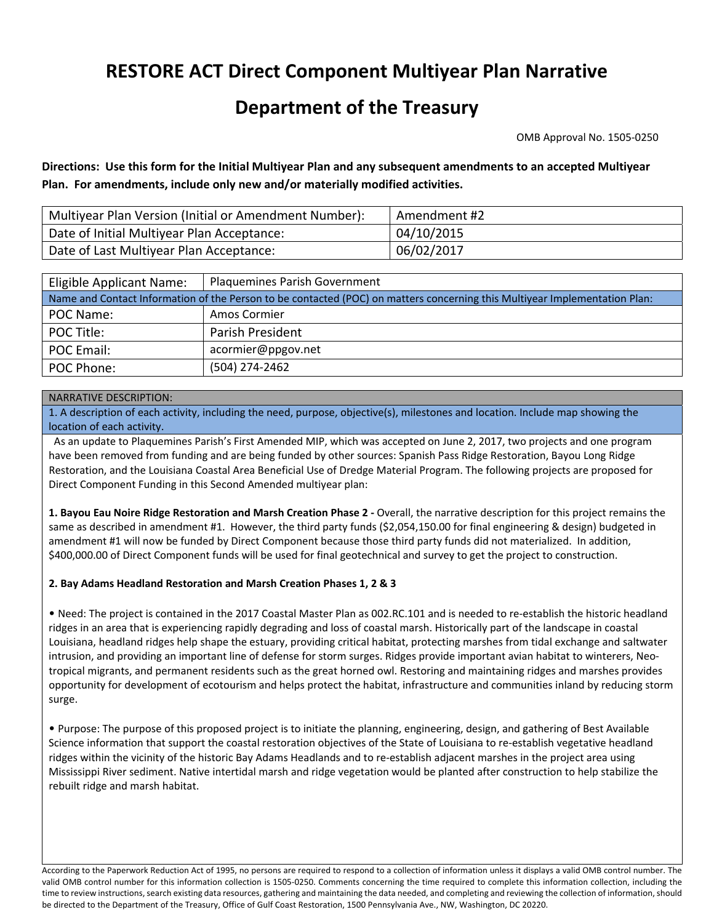# **RESTORE ACT Direct Component Multiyear Plan Narrative**

# **Department of the Treasury**

OMB Approval No. 1505‐0250

Directions: Use this form for the Initial Multiyear Plan and any subsequent amendments to an accepted Multiyear **Plan. For amendments, include only new and/or materially modified activities.**

| Multiyear Plan Version (Initial or Amendment Number): | Amendment #2 |
|-------------------------------------------------------|--------------|
| Date of Initial Multiyear Plan Acceptance:            | 04/10/2015   |
| Date of Last Multiyear Plan Acceptance:               | 06/02/2017   |

| <b>Eligible Applicant Name:</b>                                                                                            | <b>Plaquemines Parish Government</b> |  |  |  |  |  |
|----------------------------------------------------------------------------------------------------------------------------|--------------------------------------|--|--|--|--|--|
| Name and Contact Information of the Person to be contacted (POC) on matters concerning this Multiyear Implementation Plan: |                                      |  |  |  |  |  |
| POC Name:                                                                                                                  | Amos Cormier                         |  |  |  |  |  |
| POC Title:                                                                                                                 | Parish President                     |  |  |  |  |  |
| POC Email:                                                                                                                 | acormier@ppgov.net                   |  |  |  |  |  |
| POC Phone:                                                                                                                 | (504) 274-2462                       |  |  |  |  |  |

#### NARRATIVE DESCRIPTION:

1. A description of each activity, including the need, purpose, objective(s), milestones and location. Include map showing the location of each activity.

 As an update to Plaquemines Parish's First Amended MIP, which was accepted on June 2, 2017, two projects and one program have been removed from funding and are being funded by other sources: Spanish Pass Ridge Restoration, Bayou Long Ridge Restoration, and the Louisiana Coastal Area Beneficial Use of Dredge Material Program. The following projects are proposed for Direct Component Funding in this Second Amended multiyear plan:

**1. Bayou Eau Noire Ridge Restoration and Marsh Creation Phase 2 ‐** Overall, the narrative description for this project remains the same as described in amendment #1. However, the third party funds (\$2,054,150.00 for final engineering & design) budgeted in amendment #1 will now be funded by Direct Component because those third party funds did not materialized. In addition, \$400,000.00 of Direct Component funds will be used for final geotechnical and survey to get the project to construction.

#### **2. Bay Adams Headland Restoration and Marsh Creation Phases 1, 2 & 3**

• Need: The project is contained in the 2017 Coastal Master Plan as 002.RC.101 and is needed to re‐establish the historic headland ridges in an area that is experiencing rapidly degrading and loss of coastal marsh. Historically part of the landscape in coastal Louisiana, headland ridges help shape the estuary, providing critical habitat, protecting marshes from tidal exchange and saltwater intrusion, and providing an important line of defense for storm surges. Ridges provide important avian habitat to winterers, Neotropical migrants, and permanent residents such as the great horned owl. Restoring and maintaining ridges and marshes provides opportunity for development of ecotourism and helps protect the habitat, infrastructure and communities inland by reducing storm surge.

• Purpose: The purpose of this proposed project is to initiate the planning, engineering, design, and gathering of Best Available Science information that support the coastal restoration objectives of the State of Louisiana to re‐establish vegetative headland ridges within the vicinity of the historic Bay Adams Headlands and to re‐establish adjacent marshes in the project area using Mississippi River sediment. Native intertidal marsh and ridge vegetation would be planted after construction to help stabilize the rebuilt ridge and marsh habitat.

According to the Paperwork Reduction Act of 1995, no persons are required to respond to a collection of information unless it displays a valid OMB control number. The valid OMB control number for this information collection is 1505‐0250. Comments concerning the time required to complete this information collection, including the time to review instructions, search existing data resources, gathering and maintaining the data needed, and completing and reviewing the collection of information, should be directed to the Department of the Treasury, Office of Gulf Coast Restoration, 1500 Pennsylvania Ave., NW, Washington, DC 20220.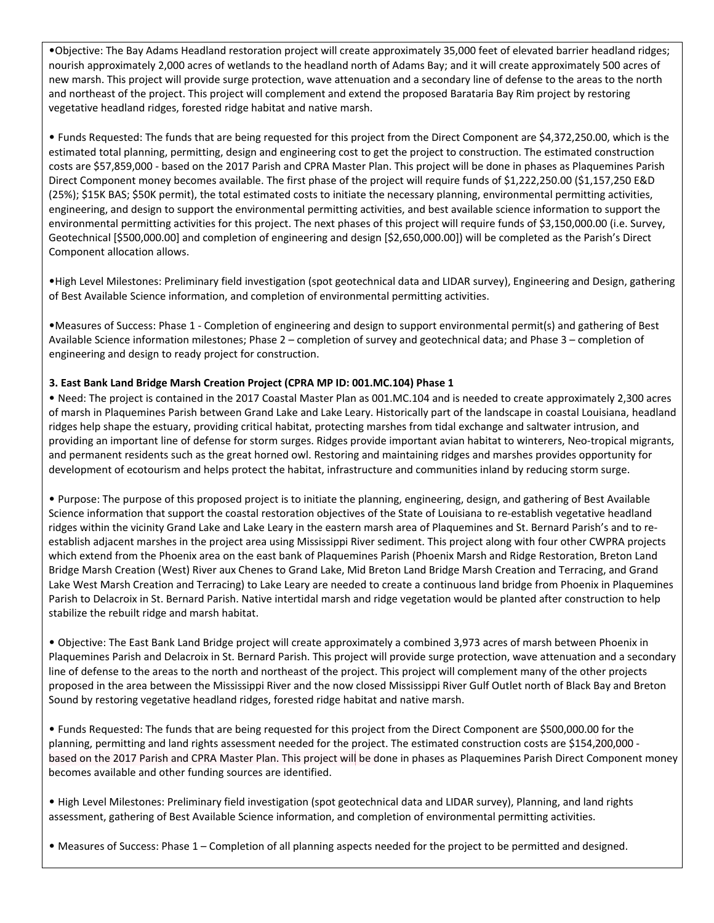•Objective: The Bay Adams Headland restoration project will create approximately 35,000 feet of elevated barrier headland ridges; nourish approximately 2,000 acres of wetlands to the headland north of Adams Bay; and it will create approximately 500 acres of new marsh. This project will provide surge protection, wave attenuation and a secondary line of defense to the areas to the north and northeast of the project. This project will complement and extend the proposed Barataria Bay Rim project by restoring vegetative headland ridges, forested ridge habitat and native marsh.

• Funds Requested: The funds that are being requested for this project from the Direct Component are \$4,372,250.00, which is the estimated total planning, permitting, design and engineering cost to get the project to construction. The estimated construction costs are \$57,859,000 ‐ based on the 2017 Parish and CPRA Master Plan. This project will be done in phases as Plaquemines Parish Direct Component money becomes available. The first phase of the project will require funds of \$1,222,250.00 (\$1,157,250 E&D (25%); \$15K BAS; \$50K permit), the total estimated costs to initiate the necessary planning, environmental permitting activities, engineering, and design to support the environmental permitting activities, and best available science information to support the environmental permitting activities for this project. The next phases of this project will require funds of \$3,150,000.00 (i.e. Survey, Geotechnical [\$500,000.00] and completion of engineering and design [\$2,650,000.00]) will be completed as the Parish's Direct Component allocation allows.

•High Level Milestones: Preliminary field investigation (spot geotechnical data and LIDAR survey), Engineering and Design, gathering of Best Available Science information, and completion of environmental permitting activities.

•Measures of Success: Phase 1 ‐ Completion of engineering and design to support environmental permit(s) and gathering of Best Available Science information milestones; Phase 2 – completion of survey and geotechnical data; and Phase 3 – completion of engineering and design to ready project for construction.

#### **3. East Bank Land Bridge Marsh Creation Project (CPRA MP ID: 001.MC.104) Phase 1**

• Need: The project is contained in the 2017 Coastal Master Plan as 001.MC.104 and is needed to create approximately 2,300 acres of marsh in Plaquemines Parish between Grand Lake and Lake Leary. Historically part of the landscape in coastal Louisiana, headland ridges help shape the estuary, providing critical habitat, protecting marshes from tidal exchange and saltwater intrusion, and providing an important line of defense for storm surges. Ridges provide important avian habitat to winterers, Neo-tropical migrants, and permanent residents such as the great horned owl. Restoring and maintaining ridges and marshes provides opportunity for development of ecotourism and helps protect the habitat, infrastructure and communities inland by reducing storm surge.

• Purpose: The purpose of this proposed project is to initiate the planning, engineering, design, and gathering of Best Available Science information that support the coastal restoration objectives of the State of Louisiana to re‐establish vegetative headland ridges within the vicinity Grand Lake and Lake Leary in the eastern marsh area of Plaquemines and St. Bernard Parish's and to re‐ establish adjacent marshes in the project area using Mississippi River sediment. This project along with four other CWPRA projects which extend from the Phoenix area on the east bank of Plaquemines Parish (Phoenix Marsh and Ridge Restoration, Breton Land Bridge Marsh Creation (West) River aux Chenes to Grand Lake, Mid Breton Land Bridge Marsh Creation and Terracing, and Grand Lake West Marsh Creation and Terracing) to Lake Leary are needed to create a continuous land bridge from Phoenix in Plaquemines Parish to Delacroix in St. Bernard Parish. Native intertidal marsh and ridge vegetation would be planted after construction to help stabilize the rebuilt ridge and marsh habitat.

• Objective: The East Bank Land Bridge project will create approximately a combined 3,973 acres of marsh between Phoenix in Plaquemines Parish and Delacroix in St. Bernard Parish. This project will provide surge protection, wave attenuation and a secondary line of defense to the areas to the north and northeast of the project. This project will complement many of the other projects proposed in the area between the Mississippi River and the now closed Mississippi River Gulf Outlet north of Black Bay and Breton Sound by restoring vegetative headland ridges, forested ridge habitat and native marsh.

• Funds Requested: The funds that are being requested for this project from the Direct Component are \$500,000.00 for the planning, permitting and land rights assessment needed for the project. The estimated construction costs are \$154,200,000 ‐ based on the 2017 Parish and CPRA Master Plan. This project will be done in phases as Plaquemines Parish Direct Component money becomes available and other funding sources are identified.

• High Level Milestones: Preliminary field investigation (spot geotechnical data and LIDAR survey), Planning, and land rights assessment, gathering of Best Available Science information, and completion of environmental permitting activities.

• Measures of Success: Phase 1 – Completion of all planning aspects needed for the project to be permitted and designed.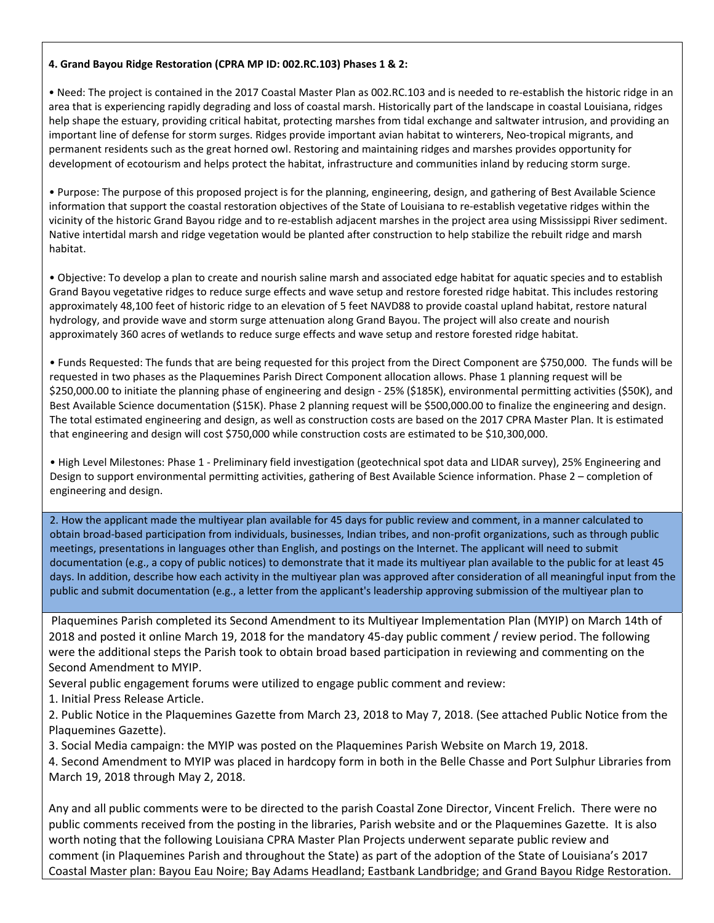#### **4. Grand Bayou Ridge Restoration (CPRA MP ID: 002.RC.103) Phases 1 & 2:**

• Need: The project is contained in the 2017 Coastal Master Plan as 002.RC.103 and is needed to re‐establish the historic ridge in an area that is experiencing rapidly degrading and loss of coastal marsh. Historically part of the landscape in coastal Louisiana, ridges help shape the estuary, providing critical habitat, protecting marshes from tidal exchange and saltwater intrusion, and providing an important line of defense for storm surges. Ridges provide important avian habitat to winterers, Neo-tropical migrants, and permanent residents such as the great horned owl. Restoring and maintaining ridges and marshes provides opportunity for development of ecotourism and helps protect the habitat, infrastructure and communities inland by reducing storm surge.

• Purpose: The purpose of this proposed project is for the planning, engineering, design, and gathering of Best Available Science information that support the coastal restoration objectives of the State of Louisiana to re‐establish vegetative ridges within the vicinity of the historic Grand Bayou ridge and to re‐establish adjacent marshes in the project area using Mississippi River sediment. Native intertidal marsh and ridge vegetation would be planted after construction to help stabilize the rebuilt ridge and marsh habitat.

• Objective: To develop a plan to create and nourish saline marsh and associated edge habitat for aquatic species and to establish Grand Bayou vegetative ridges to reduce surge effects and wave setup and restore forested ridge habitat. This includes restoring approximately 48,100 feet of historic ridge to an elevation of 5 feet NAVD88 to provide coastal upland habitat, restore natural hydrology, and provide wave and storm surge attenuation along Grand Bayou. The project will also create and nourish approximately 360 acres of wetlands to reduce surge effects and wave setup and restore forested ridge habitat.

• Funds Requested: The funds that are being requested for this project from the Direct Component are \$750,000. The funds will be requested in two phases as the Plaquemines Parish Direct Component allocation allows. Phase 1 planning request will be \$250,000.00 to initiate the planning phase of engineering and design ‐ 25% (\$185K), environmental permitting activities (\$50K), and Best Available Science documentation (\$15K). Phase 2 planning request will be \$500,000.00 to finalize the engineering and design. The total estimated engineering and design, as well as construction costs are based on the 2017 CPRA Master Plan. It is estimated that engineering and design will cost \$750,000 while construction costs are estimated to be \$10,300,000.

• High Level Milestones: Phase 1 ‐ Preliminary field investigation (geotechnical spot data and LIDAR survey), 25% Engineering and Design to support environmental permitting activities, gathering of Best Available Science information. Phase 2 – completion of engineering and design.

2. How the applicant made the multiyear plan available for 45 days for public review and comment, in a manner calculated to obtain broad‐based participation from individuals, businesses, Indian tribes, and non‐profit organizations, such as through public meetings, presentations in languages other than English, and postings on the Internet. The applicant will need to submit documentation (e.g., a copy of public notices) to demonstrate that it made its multiyear plan available to the public for at least 45 days. In addition, describe how each activity in the multiyear plan was approved after consideration of all meaningful input from the public and submit documentation (e.g., a letter from the applicant's leadership approving submission of the multiyear plan to

Plaquemines Parish completed its Second Amendment to its Multiyear Implementation Plan (MYIP) on March 14th of 2018 and posted it online March 19, 2018 for the mandatory 45‐day public comment / review period. The following were the additional steps the Parish took to obtain broad based participation in reviewing and commenting on the Second Amendment to MYIP.

Several public engagement forums were utilized to engage public comment and review:

1. Initial Press Release Article.

2. Public Notice in the Plaquemines Gazette from March 23, 2018 to May 7, 2018. (See attached Public Notice from the Plaquemines Gazette).

3. Social Media campaign: the MYIP was posted on the Plaquemines Parish Website on March 19, 2018.

4. Second Amendment to MYIP was placed in hardcopy form in both in the Belle Chasse and Port Sulphur Libraries from March 19, 2018 through May 2, 2018.

Any and all public comments were to be directed to the parish Coastal Zone Director, Vincent Frelich. There were no public comments received from the posting in the libraries, Parish website and or the Plaquemines Gazette. It is also worth noting that the following Louisiana CPRA Master Plan Projects underwent separate public review and comment (in Plaquemines Parish and throughout the State) as part of the adoption of the State of Louisiana's 2017 Coastal Master plan: Bayou Eau Noire; Bay Adams Headland; Eastbank Landbridge; and Grand Bayou Ridge Restoration.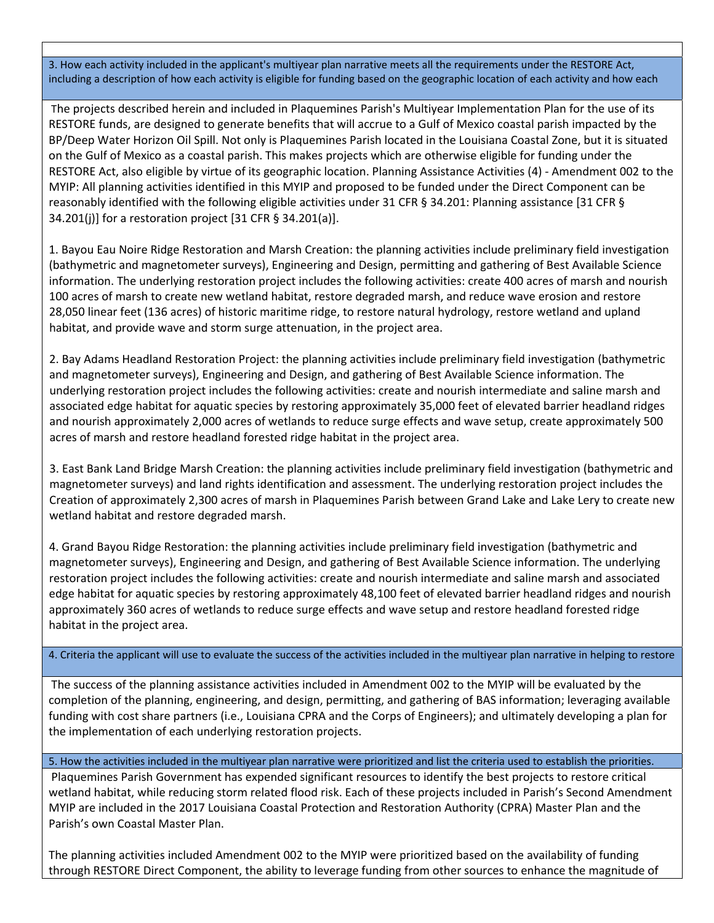3. How each activity included in the applicant's multiyear plan narrative meets all the requirements under the RESTORE Act, including a description of how each activity is eligible for funding based on the geographic location of each activity and how each

The projects described herein and included in Plaquemines Parish's Multiyear Implementation Plan for the use of its RESTORE funds, are designed to generate benefits that will accrue to a Gulf of Mexico coastal parish impacted by the BP/Deep Water Horizon Oil Spill. Not only is Plaquemines Parish located in the Louisiana Coastal Zone, but it is situated on the Gulf of Mexico as a coastal parish. This makes projects which are otherwise eligible for funding under the RESTORE Act, also eligible by virtue of its geographic location. Planning Assistance Activities (4) ‐ Amendment 002 to the MYIP: All planning activities identified in this MYIP and proposed to be funded under the Direct Component can be reasonably identified with the following eligible activities under 31 CFR § 34.201: Planning assistance [31 CFR § 34.201(j)] for a restoration project [31 CFR § 34.201(a)].

1. Bayou Eau Noire Ridge Restoration and Marsh Creation: the planning activities include preliminary field investigation (bathymetric and magnetometer surveys), Engineering and Design, permitting and gathering of Best Available Science information. The underlying restoration project includes the following activities: create 400 acres of marsh and nourish 100 acres of marsh to create new wetland habitat, restore degraded marsh, and reduce wave erosion and restore 28,050 linear feet (136 acres) of historic maritime ridge, to restore natural hydrology, restore wetland and upland habitat, and provide wave and storm surge attenuation, in the project area.

2. Bay Adams Headland Restoration Project: the planning activities include preliminary field investigation (bathymetric and magnetometer surveys), Engineering and Design, and gathering of Best Available Science information. The underlying restoration project includes the following activities: create and nourish intermediate and saline marsh and associated edge habitat for aquatic species by restoring approximately 35,000 feet of elevated barrier headland ridges and nourish approximately 2,000 acres of wetlands to reduce surge effects and wave setup, create approximately 500 acres of marsh and restore headland forested ridge habitat in the project area.

3. East Bank Land Bridge Marsh Creation: the planning activities include preliminary field investigation (bathymetric and magnetometer surveys) and land rights identification and assessment. The underlying restoration project includes the Creation of approximately 2,300 acres of marsh in Plaquemines Parish between Grand Lake and Lake Lery to create new wetland habitat and restore degraded marsh.

4. Grand Bayou Ridge Restoration: the planning activities include preliminary field investigation (bathymetric and magnetometer surveys), Engineering and Design, and gathering of Best Available Science information. The underlying restoration project includes the following activities: create and nourish intermediate and saline marsh and associated edge habitat for aquatic species by restoring approximately 48,100 feet of elevated barrier headland ridges and nourish approximately 360 acres of wetlands to reduce surge effects and wave setup and restore headland forested ridge habitat in the project area.

4. Criteria the applicant will use to evaluate the success of the activities included in the multiyear plan narrative in helping to restore

The success of the planning assistance activities included in Amendment 002 to the MYIP will be evaluated by the completion of the planning, engineering, and design, permitting, and gathering of BAS information; leveraging available funding with cost share partners (i.e., Louisiana CPRA and the Corps of Engineers); and ultimately developing a plan for the implementation of each underlying restoration projects.

5. How the activities included in the multiyear plan narrative were prioritized and list the criteria used to establish the priorities.

Plaquemines Parish Government has expended significant resources to identify the best projects to restore critical wetland habitat, while reducing storm related flood risk. Each of these projects included in Parish's Second Amendment MYIP are included in the 2017 Louisiana Coastal Protection and Restoration Authority (CPRA) Master Plan and the Parish's own Coastal Master Plan.

The planning activities included Amendment 002 to the MYIP were prioritized based on the availability of funding through RESTORE Direct Component, the ability to leverage funding from other sources to enhance the magnitude of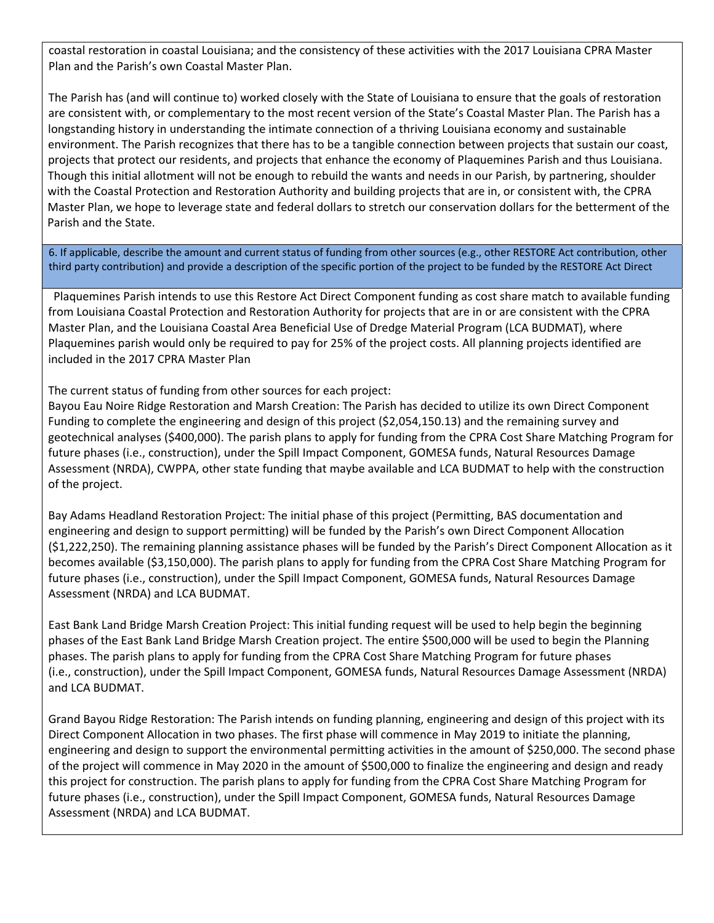coastal restoration in coastal Louisiana; and the consistency of these activities with the 2017 Louisiana CPRA Master Plan and the Parish's own Coastal Master Plan.

The Parish has (and will continue to) worked closely with the State of Louisiana to ensure that the goals of restoration are consistent with, or complementary to the most recent version of the State's Coastal Master Plan. The Parish has a longstanding history in understanding the intimate connection of a thriving Louisiana economy and sustainable environment. The Parish recognizes that there has to be a tangible connection between projects that sustain our coast, projects that protect our residents, and projects that enhance the economy of Plaquemines Parish and thus Louisiana. Though this initial allotment will not be enough to rebuild the wants and needs in our Parish, by partnering, shoulder with the Coastal Protection and Restoration Authority and building projects that are in, or consistent with, the CPRA Master Plan, we hope to leverage state and federal dollars to stretch our conservation dollars for the betterment of the Parish and the State.

6. If applicable, describe the amount and current status of funding from other sources (e.g., other RESTORE Act contribution, other third party contribution) and provide a description of the specific portion of the project to be funded by the RESTORE Act Direct

 Plaquemines Parish intends to use this Restore Act Direct Component funding as cost share match to available funding from Louisiana Coastal Protection and Restoration Authority for projects that are in or are consistent with the CPRA Master Plan, and the Louisiana Coastal Area Beneficial Use of Dredge Material Program (LCA BUDMAT), where Plaquemines parish would only be required to pay for 25% of the project costs. All planning projects identified are included in the 2017 CPRA Master Plan

The current status of funding from other sources for each project:

Bayou Eau Noire Ridge Restoration and Marsh Creation: The Parish has decided to utilize its own Direct Component Funding to complete the engineering and design of this project (\$2,054,150.13) and the remaining survey and geotechnical analyses (\$400,000). The parish plans to apply for funding from the CPRA Cost Share Matching Program for future phases (i.e., construction), under the Spill Impact Component, GOMESA funds, Natural Resources Damage Assessment (NRDA), CWPPA, other state funding that maybe available and LCA BUDMAT to help with the construction of the project.

Bay Adams Headland Restoration Project: The initial phase of this project (Permitting, BAS documentation and engineering and design to support permitting) will be funded by the Parish's own Direct Component Allocation (\$1,222,250). The remaining planning assistance phases will be funded by the Parish's Direct Component Allocation as it becomes available (\$3,150,000). The parish plans to apply for funding from the CPRA Cost Share Matching Program for future phases (i.e., construction), under the Spill Impact Component, GOMESA funds, Natural Resources Damage Assessment (NRDA) and LCA BUDMAT.

East Bank Land Bridge Marsh Creation Project: This initial funding request will be used to help begin the beginning phases of the East Bank Land Bridge Marsh Creation project. The entire \$500,000 will be used to begin the Planning phases. The parish plans to apply for funding from the CPRA Cost Share Matching Program for future phases (i.e., construction), under the Spill Impact Component, GOMESA funds, Natural Resources Damage Assessment (NRDA) and LCA BUDMAT.

Grand Bayou Ridge Restoration: The Parish intends on funding planning, engineering and design of this project with its Direct Component Allocation in two phases. The first phase will commence in May 2019 to initiate the planning, engineering and design to support the environmental permitting activities in the amount of \$250,000. The second phase of the project will commence in May 2020 in the amount of \$500,000 to finalize the engineering and design and ready this project for construction. The parish plans to apply for funding from the CPRA Cost Share Matching Program for future phases (i.e., construction), under the Spill Impact Component, GOMESA funds, Natural Resources Damage Assessment (NRDA) and LCA BUDMAT.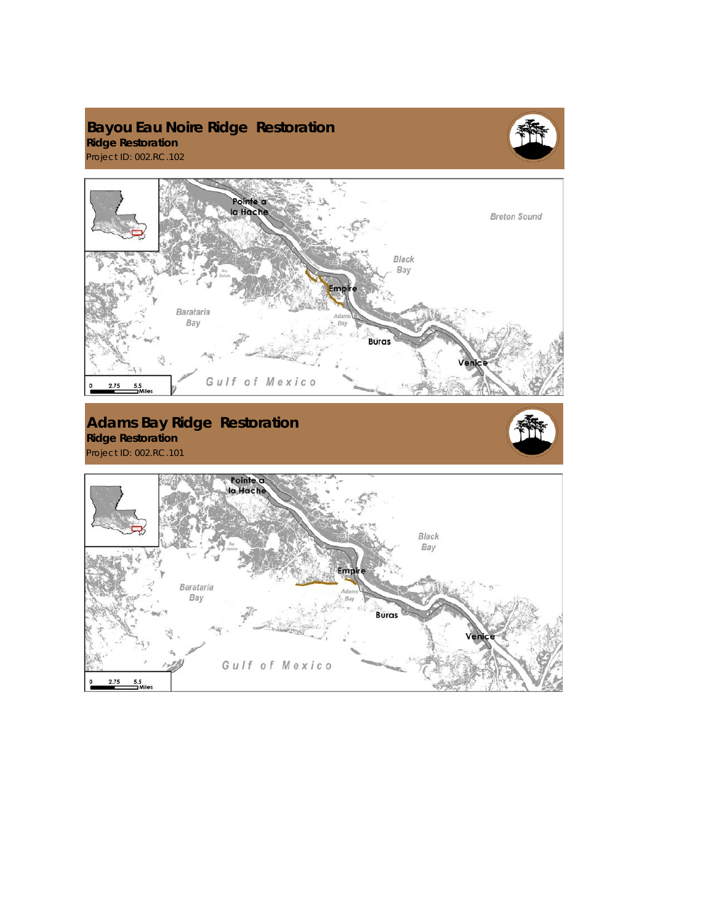## **Bayou Eau Noire Ridge Restoration Ridge Restoration**  Project ID: 002.RC.102



Pointe a<br>la Hache **Breton Sound** Black Bay mò Barataria Bay **Buras** Gulf of Mexico  $2.75$  $\frac{5.5}{2}$ Mile **Adams Bay Ridge Restoration Ridge Restoration**  Project ID: 002.RC.101 Pointe a<br>la Hache Black<br>Bay Empire Barataria Bay **Buras** Gulf of Mexico  $2.75$  $\mathbf{o}$  $5.5$ <br>Miles